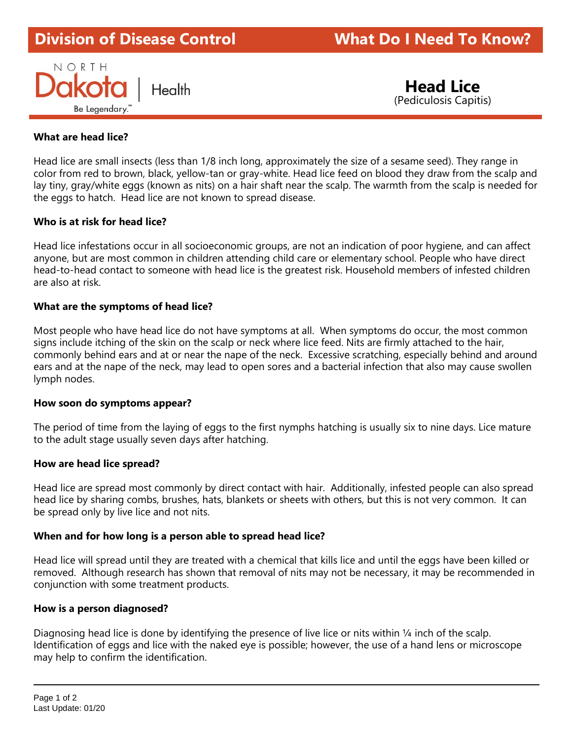# **Division of Disease Control What Do I Need To Know?**



 **Head Lice** (Pediculosis Capitis)

## **What are head lice?**

Head lice are small insects (less than 1/8 inch long, approximately the size of a sesame seed). They range in color from red to brown, black, yellow-tan or gray-white. Head lice feed on blood they draw from the scalp and lay tiny, gray/white eggs (known as nits) on a hair shaft near the scalp. The warmth from the scalp is needed for the eggs to hatch. Head lice are not known to spread disease.

## **Who is at risk for head lice?**

Head lice infestations occur in all socioeconomic groups, are not an indication of poor hygiene, and can affect anyone, but are most common in children attending child care or elementary school. People who have direct head-to-head contact to someone with head lice is the greatest risk. Household members of infested children are also at risk.

## **What are the symptoms of head lice?**

Most people who have head lice do not have symptoms at all. When symptoms do occur, the most common signs include itching of the skin on the scalp or neck where lice feed. Nits are firmly attached to the hair, commonly behind ears and at or near the nape of the neck. Excessive scratching, especially behind and around ears and at the nape of the neck, may lead to open sores and a bacterial infection that also may cause swollen lymph nodes.

### **How soon do symptoms appear?**

The period of time from the laying of eggs to the first nymphs hatching is usually six to nine days. Lice mature to the adult stage usually seven days after hatching.

### **How are head lice spread?**

Head lice are spread most commonly by direct contact with hair. Additionally, infested people can also spread head lice by sharing combs, brushes, hats, blankets or sheets with others, but this is not very common. It can be spread only by live lice and not nits.

### **When and for how long is a person able to spread head lice?**

Head lice will spread until they are treated with a chemical that kills lice and until the eggs have been killed or removed. Although research has shown that removal of nits may not be necessary, it may be recommended in conjunction with some treatment products.

### **How is a person diagnosed?**

Diagnosing head lice is done by identifying the presence of live lice or nits within ¼ inch of the scalp. Identification of eggs and lice with the naked eye is possible; however, the use of a hand lens or microscope may help to confirm the identification.